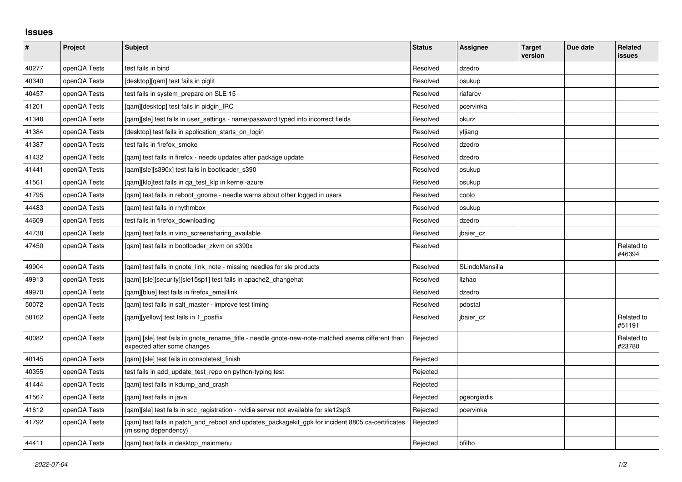## **Issues**

| $\vert$ # | Project      | <b>Subject</b>                                                                                                                   | <b>Status</b> | Assignee       | <b>Target</b><br>version | Due date | <b>Related</b><br>issues |
|-----------|--------------|----------------------------------------------------------------------------------------------------------------------------------|---------------|----------------|--------------------------|----------|--------------------------|
| 40277     | openQA Tests | test fails in bind                                                                                                               | Resolved      | dzedro         |                          |          |                          |
| 40340     | openQA Tests | [desktop][qam] test fails in piglit                                                                                              | Resolved      | osukup         |                          |          |                          |
| 40457     | openQA Tests | test fails in system prepare on SLE 15                                                                                           | Resolved      | riafarov       |                          |          |                          |
| 41201     | openQA Tests | [gam][desktop] test fails in pidgin IRC                                                                                          | Resolved      | pcervinka      |                          |          |                          |
| 41348     | openQA Tests | [qam][sle] test fails in user_settings - name/password typed into incorrect fields                                               | Resolved      | okurz          |                          |          |                          |
| 41384     | openQA Tests | [desktop] test fails in application starts on login                                                                              | Resolved      | yfjiang        |                          |          |                          |
| 41387     | openQA Tests | test fails in firefox smoke                                                                                                      | Resolved      | dzedro         |                          |          |                          |
| 41432     | openQA Tests | [gam] test fails in firefox - needs updates after package update                                                                 | Resolved      | dzedro         |                          |          |                          |
| 41441     | openQA Tests | [qam][sle][s390x] test fails in bootloader_s390                                                                                  | Resolved      | osukup         |                          |          |                          |
| 41561     | openQA Tests | [gam][klp]test fails in ga test klp in kernel-azure                                                                              | Resolved      | osukup         |                          |          |                          |
| 41795     | openQA Tests | [gam] test fails in reboot gnome - needle warns about other logged in users                                                      | Resolved      | coolo          |                          |          |                          |
| 44483     | openQA Tests | [gam] test fails in rhythmbox                                                                                                    | Resolved      | osukup         |                          |          |                          |
| 44609     | openQA Tests | test fails in firefox downloading                                                                                                | Resolved      | dzedro         |                          |          |                          |
| 44738     | openQA Tests | [gam] test fails in vino screensharing available                                                                                 | Resolved      | jbaier_cz      |                          |          |                          |
| 47450     | openQA Tests | [qam] test fails in bootloader_zkvm on s390x                                                                                     | Resolved      |                |                          |          | Related to<br>#46394     |
| 49904     | openQA Tests | [gam] test fails in gnote link note - missing needles for sle products                                                           | Resolved      | SLindoMansilla |                          |          |                          |
| 49913     | openQA Tests | [qam] [sle][security][sle15sp1] test fails in apache2_changehat                                                                  | Resolved      | Ilzhao         |                          |          |                          |
| 49970     | openQA Tests | [qam][blue] test fails in firefox_emaillink                                                                                      | Resolved      | dzedro         |                          |          |                          |
| 50072     | openQA Tests | [qam] test fails in salt_master - improve test timing                                                                            | Resolved      | pdostal        |                          |          |                          |
| 50162     | openQA Tests | [gam][yellow] test fails in 1 postfix                                                                                            | Resolved      | jbaier_cz      |                          |          | Related to<br>#51191     |
| 40082     | openQA Tests | [gam] [sle] test fails in gnote rename title - needle gnote-new-note-matched seems different than<br>expected after some changes | Rejected      |                |                          |          | Related to<br>#23780     |
| 40145     | openQA Tests | [gam] [sle] test fails in consoletest finish                                                                                     | Rejected      |                |                          |          |                          |
| 40355     | openQA Tests | test fails in add update test repo on python-typing test                                                                         | Rejected      |                |                          |          |                          |
| 41444     | openQA Tests | [qam] test fails in kdump_and_crash                                                                                              | Rejected      |                |                          |          |                          |
| 41567     | openQA Tests | [gam] test fails in java                                                                                                         | Rejected      | pgeorgiadis    |                          |          |                          |
| 41612     | openQA Tests | [gam][sle] test fails in scc registration - nvidia server not available for sle12sp3                                             | Rejected      | pcervinka      |                          |          |                          |
| 41792     | openQA Tests | [gam] test fails in patch and reboot and updates packagekit gpk for incident 8805 ca-certificates<br>(missing dependency)        | Rejected      |                |                          |          |                          |
| 44411     | openQA Tests | [qam] test fails in desktop_mainmenu                                                                                             | Rejected      | bfilho         |                          |          |                          |